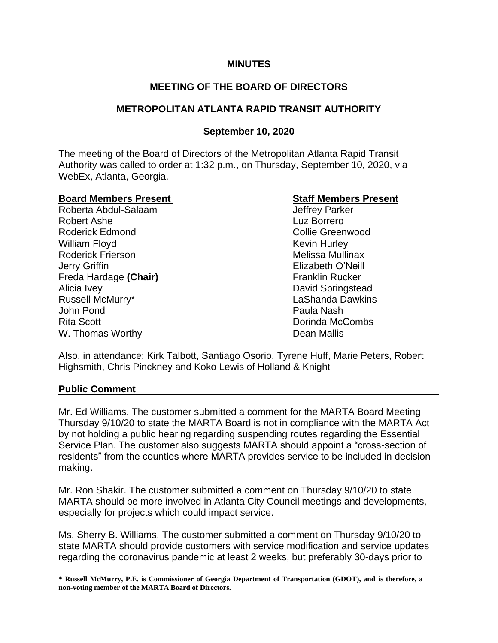## **MINUTES**

# **MEETING OF THE BOARD OF DIRECTORS**

# **METROPOLITAN ATLANTA RAPID TRANSIT AUTHORITY**

# **September 10, 2020**

The meeting of the Board of Directors of the Metropolitan Atlanta Rapid Transit Authority was called to order at 1:32 p.m., on Thursday, September 10, 2020, via WebEx, Atlanta, Georgia.

#### **Board Members Present Staff Members Present**

Roberta Abdul-Salaam Jeffrey Parker Robert Ashe Luz Borrero Roderick Edmond **Collie Greenwood** William Floyd **Kevin Hurley** Kevin Hurley Roderick Frierson **Melissa Mullinax** Melissa Mullinax Jerry Griffin Elizabeth O'Neill Freda Hardage (Chair) **Franklin Rucker** Franklin Rucker Alicia Ivey David Springstead Russell McMurry\* The Communication of the LaShanda Dawkins John Pond Paula Nash Rita Scott Dorinda McCombs W. Thomas Worthy **Dean Mallis** 

Also, in attendance: Kirk Talbott, Santiago Osorio, Tyrene Huff, Marie Peters, Robert Highsmith, Chris Pinckney and Koko Lewis of Holland & Knight

#### **Public Comment**

Mr. Ed Williams. The customer submitted a comment for the MARTA Board Meeting Thursday 9/10/20 to state the MARTA Board is not in compliance with the MARTA Act by not holding a public hearing regarding suspending routes regarding the Essential Service Plan. The customer also suggests MARTA should appoint a "cross-section of residents" from the counties where MARTA provides service to be included in decisionmaking.

Mr. Ron Shakir. The customer submitted a comment on Thursday 9/10/20 to state MARTA should be more involved in Atlanta City Council meetings and developments, especially for projects which could impact service.

Ms. Sherry B. Williams. The customer submitted a comment on Thursday 9/10/20 to state MARTA should provide customers with service modification and service updates regarding the coronavirus pandemic at least 2 weeks, but preferably 30-days prior to

**\* Russell McMurry, P.E. is Commissioner of Georgia Department of Transportation (GDOT), and is therefore, a non-voting member of the MARTA Board of Directors.**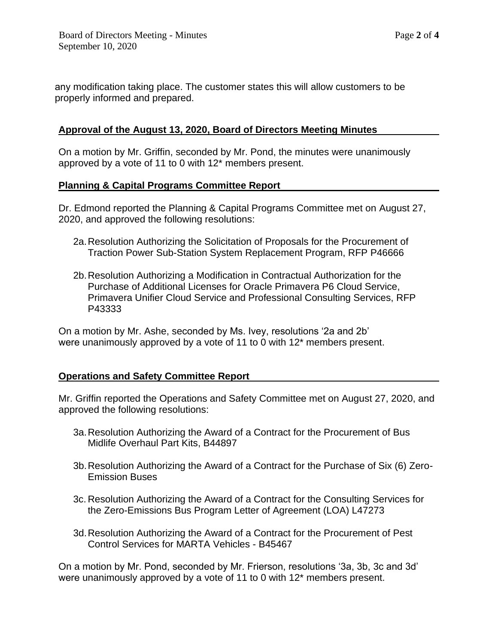any modification taking place. The customer states this will allow customers to be properly informed and prepared.

## **Approval of the August 13, 2020, Board of Directors Meeting Minutes**

On a motion by Mr. Griffin, seconded by Mr. Pond, the minutes were unanimously approved by a vote of 11 to 0 with 12\* members present.

## **Planning & Capital Programs Committee Report**

Dr. Edmond reported the Planning & Capital Programs Committee met on August 27, 2020, and approved the following resolutions:

- 2a.Resolution Authorizing the Solicitation of Proposals for the Procurement of Traction Power Sub-Station System Replacement Program, RFP P46666
- 2b.Resolution Authorizing a Modification in Contractual Authorization for the Purchase of Additional Licenses for Oracle Primavera P6 Cloud Service, Primavera Unifier Cloud Service and Professional Consulting Services, RFP P43333

On a motion by Mr. Ashe, seconded by Ms. Ivey, resolutions '2a and 2b' were unanimously approved by a vote of 11 to 0 with 12\* members present.

#### **Operations and Safety Committee Report**

Mr. Griffin reported the Operations and Safety Committee met on August 27, 2020, and approved the following resolutions:

- 3a.Resolution Authorizing the Award of a Contract for the Procurement of Bus Midlife Overhaul Part Kits, B44897
- 3b.Resolution Authorizing the Award of a Contract for the Purchase of Six (6) Zero-Emission Buses
- 3c. Resolution Authorizing the Award of a Contract for the Consulting Services for the Zero-Emissions Bus Program Letter of Agreement (LOA) L47273
- 3d.Resolution Authorizing the Award of a Contract for the Procurement of Pest Control Services for MARTA Vehicles - B45467

On a motion by Mr. Pond, seconded by Mr. Frierson, resolutions '3a, 3b, 3c and 3d' were unanimously approved by a vote of 11 to 0 with 12\* members present.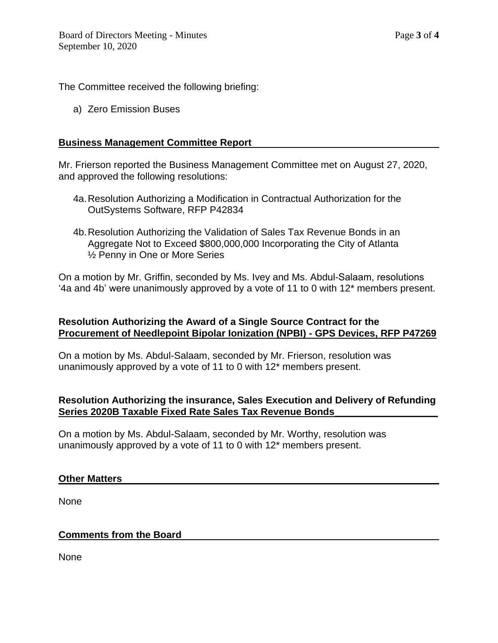The Committee received the following briefing:

a) Zero Emission Buses

#### **Business Management Committee Report**

Mr. Frierson reported the Business Management Committee met on August 27, 2020, and approved the following resolutions:

- 4a.Resolution Authorizing a Modification in Contractual Authorization for the OutSystems Software, RFP P42834
- 4b.Resolution Authorizing the Validation of Sales Tax Revenue Bonds in an Aggregate Not to Exceed \$800,000,000 Incorporating the City of Atlanta ½ Penny in One or More Series

On a motion by Mr. Griffin, seconded by Ms. Ivey and Ms. Abdul-Salaam, resolutions '4a and 4b' were unanimously approved by a vote of 11 to 0 with 12\* members present.

# **Resolution Authorizing the Award of a Single Source Contract for the Procurement of Needlepoint Bipolar Ionization (NPBI) - GPS Devices, RFP P47269**

On a motion by Ms. Abdul-Salaam, seconded by Mr. Frierson, resolution was unanimously approved by a vote of 11 to 0 with 12\* members present.

# **Resolution Authorizing the insurance, Sales Execution and Delivery of Refunding Series 2020B Taxable Fixed Rate Sales Tax Revenue Bonds\_\_\_\_\_\_\_\_\_\_\_\_\_\_\_\_\_\_\_**

On a motion by Ms. Abdul-Salaam, seconded by Mr. Worthy, resolution was unanimously approved by a vote of 11 to 0 with 12\* members present.

#### **Other Matters**

None

#### **Comments from the Board**

None